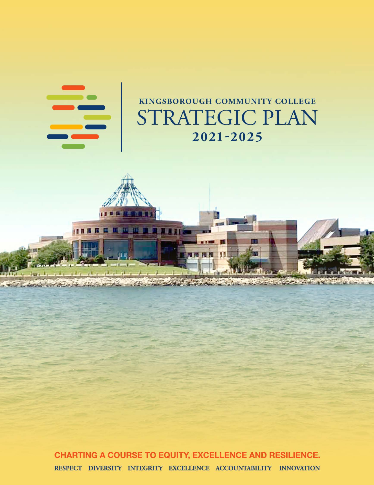

# KINGSBOROUGH COMMUNITY COLLEGE STRATEGIC PLAN 2021-2025

**CHARTING A COURSE TO EQUITY, EXCELLENCE AND RESILIENCE.** RESPECT DIVERSITY INTEGRITY EXCELLENCE ACCOUNTABILITY INNOVATION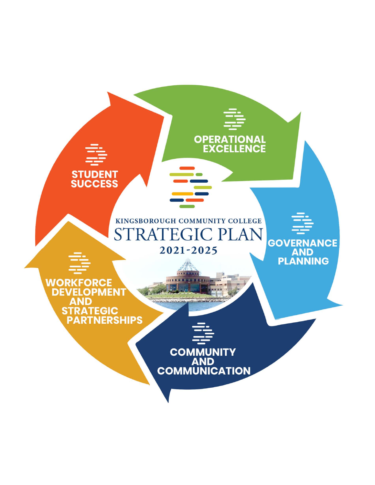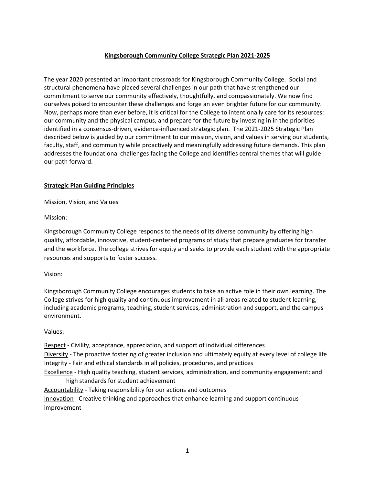#### **Kingsborough Community College Strategic Plan 2021-2025**

The year 2020 presented an important crossroads for Kingsborough Community College. Social and structural phenomena have placed several challenges in our path that have strengthened our commitment to serve our community effectively, thoughtfully, and compassionately. We now find ourselves poised to encounter these challenges and forge an even brighter future for our community. Now, perhaps more than ever before, it is critical for the College to intentionally care for its resources: our community and the physical campus, and prepare for the future by investing in in the priorities identified in a consensus-driven, evidence-influenced strategic plan. The 2021-2025 Strategic Plan described below is guided by our commitment to our mission, vision, and values in serving our students, faculty, staff, and community while proactively and meaningfully addressing future demands. This plan addresses the foundational challenges facing the College and identifies central themes that will guide our path forward.

#### **Strategic Plan Guiding Principles**

Mission, Vision, and Values

Mission:

Kingsborough Community College responds to the needs of its diverse community by offering high quality, affordable, innovative, student-centered programs of study that prepare graduates for transfer and the workforce. The college strives for equity and seeks to provide each student with the appropriate resources and supports to foster success.

#### Vision:

Kingsborough Community College encourages students to take an active role in their own learning. The College strives for high quality and continuous improvement in all areas related to student learning, including academic programs, teaching, student services, administration and support, and the campus environment.

#### Values:

Respect - Civility, acceptance, appreciation, and support of individual differences Diversity - The proactive fostering of greater inclusion and ultimately equity at every level of college life Integrity - Fair and ethical standards in all policies, procedures, and practices Excellence - High quality teaching, student services, administration, and community engagement; and high standards for student achievement Accountability - Taking responsibility for our actions and outcomes Innovation - Creative thinking and approaches that enhance learning and support continuous

improvement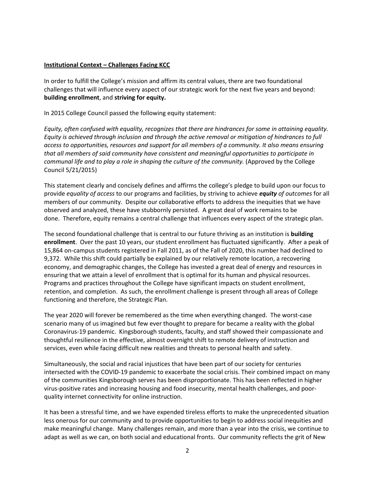#### **Institutional Context – Challenges Facing KCC**

In order to fulfill the College's mission and affirm its central values, there are two foundational challenges that will influence every aspect of our strategic work for the next five years and beyond: **building enrollment**, and **striving for equity.**

In 2015 College Council passed the following equity statement:

*Equity, often confused with equality, recognizes that there are hindrances for some in attaining equality. Equity is achieved through inclusion and through the active removal or mitigation of hindrances to full access to opportunities, resources and support for all members of a community. It also means ensuring that all members of said community have consistent and meaningful opportunities to participate in communal life and to play a role in shaping the culture of the community.* (Approved by the College Council 5/21/2015)

This statement clearly and concisely defines and affirms the college's pledge to build upon our focus to provide *equality of access* to our programs and facilities, by striving to achieve *equity of outcomes* for all members of our community. Despite our collaborative efforts to address the inequities that we have observed and analyzed, these have stubbornly persisted. A great deal of work remains to be done. Therefore, equity remains a central challenge that influences every aspect of the strategic plan.

The second foundational challenge that is central to our future thriving as an institution is **building enrollment**. Over the past 10 years, our student enrollment has fluctuated significantly. After a peak of 15,864 on-campus students registered in Fall 2011, as of the Fall of 2020, this number had declined to 9,372. While this shift could partially be explained by our relatively remote location, a recovering economy, and demographic changes, the College has invested a great deal of energy and resources in ensuring that we attain a level of enrollment that is optimal for its human and physical resources. Programs and practices throughout the College have significant impacts on student enrollment, retention, and completion. As such, the enrollment challenge is present through all areas of College functioning and therefore, the Strategic Plan.

The year 2020 will forever be remembered as the time when everything changed. The worst-case scenario many of us imagined but few ever thought to prepare for became a reality with the global Coronavirus-19 pandemic. Kingsborough students, faculty, and staff showed their compassionate and thoughtful resilience in the effective, almost overnight shift to remote delivery of instruction and services, even while facing difficult new realities and threats to personal health and safety.

Simultaneously, the social and racial injustices that have been part of our society for centuries intersected with the COVID-19 pandemic to exacerbate the social crisis. Their combined impact on many of the communities Kingsborough serves has been disproportionate. This has been reflected in higher virus-positive rates and increasing housing and food insecurity, mental health challenges, and poorquality internet connectivity for online instruction.

It has been a stressful time, and we have expended tireless efforts to make the unprecedented situation less onerous for our community and to provide opportunities to begin to address social inequities and make meaningful change. Many challenges remain, and more than a year into the crisis, we continue to adapt as well as we can, on both social and educational fronts. Our community reflects the grit of New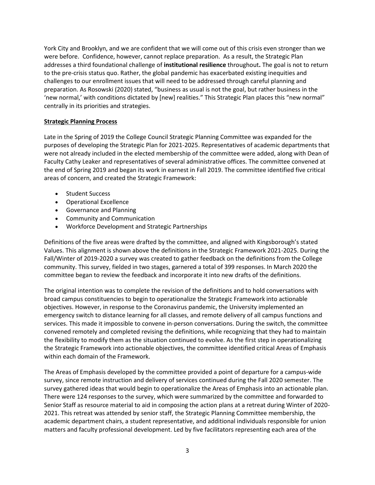York City and Brooklyn, and we are confident that we will come out of this crisis even stronger than we were before. Confidence, however, cannot replace preparation. As a result, the Strategic Plan addresses a third foundational challenge of **institutional resilience** throughout**.** The goal is not to return to the pre-crisis status quo. Rather, the global pandemic has exacerbated existing inequities and challenges to our enrollment issues that will need to be addressed through careful planning and preparation. As Rosowski (2020) stated, "business as usual is not the goal, but rather business in the 'new normal,' with conditions dictated by [new] realities." This Strategic Plan places this "new normal" centrally in its priorities and strategies.

#### **Strategic Planning Process**

Late in the Spring of 2019 the College Council Strategic Planning Committee was expanded for the purposes of developing the Strategic Plan for 2021-2025. Representatives of academic departments that were not already included in the elected membership of the committee were added, along with Dean of Faculty Cathy Leaker and representatives of several administrative offices. The committee convened at the end of Spring 2019 and began its work in earnest in Fall 2019. The committee identified five critical areas of concern, and created the Strategic Framework:

- Student Success
- Operational Excellence
- Governance and Planning
- Community and Communication
- Workforce Development and Strategic Partnerships

Definitions of the five areas were drafted by the committee, and aligned with Kingsborough's stated Values. This alignment is shown above the definitions in the Strategic Framework 2021-2025. During the Fall/Winter of 2019-2020 a survey was created to gather feedback on the definitions from the College community. This survey, fielded in two stages, garnered a total of 399 responses. In March 2020 the committee began to review the feedback and incorporate it into new drafts of the definitions.

The original intention was to complete the revision of the definitions and to hold conversations with broad campus constituencies to begin to operationalize the Strategic Framework into actionable objectives. However, in response to the Coronavirus pandemic, the University implemented an emergency switch to distance learning for all classes, and remote delivery of all campus functions and services. This made it impossible to convene in-person conversations. During the switch, the committee convened remotely and completed revising the definitions, while recognizing that they had to maintain the flexibility to modify them as the situation continued to evolve. As the first step in operationalizing the Strategic Framework into actionable objectives, the committee identified critical Areas of Emphasis within each domain of the Framework.

The Areas of Emphasis developed by the committee provided a point of departure for a campus-wide survey, since remote instruction and delivery of services continued during the Fall 2020 semester. The survey gathered ideas that would begin to operationalize the Areas of Emphasis into an actionable plan. There were 124 responses to the survey, which were summarized by the committee and forwarded to Senior Staff as resource material to aid in composing the action plans at a retreat during Winter of 2020- 2021. This retreat was attended by senior staff, the Strategic Planning Committee membership, the academic department chairs, a student representative, and additional individuals responsible for union matters and faculty professional development. Led by five facilitators representing each area of the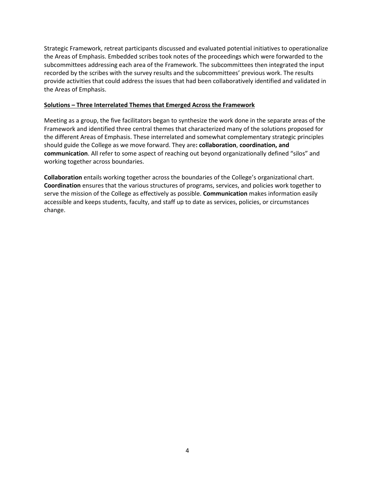Strategic Framework, retreat participants discussed and evaluated potential initiatives to operationalize the Areas of Emphasis. Embedded scribes took notes of the proceedings which were forwarded to the subcommittees addressing each area of the Framework. The subcommittees then integrated the input recorded by the scribes with the survey results and the subcommittees' previous work. The results provide activities that could address the issues that had been collaboratively identified and validated in the Areas of Emphasis.

#### **Solutions – Three Interrelated Themes that Emerged Across the Framework**

Meeting as a group, the five facilitators began to synthesize the work done in the separate areas of the Framework and identified three central themes that characterized many of the solutions proposed for the different Areas of Emphasis. These interrelated and somewhat complementary strategic principles should guide the College as we move forward. They are**: collaboration**, **coordination, and communication**. All refer to some aspect of reaching out beyond organizationally defined "silos" and working together across boundaries.

**Collaboration** entails working together across the boundaries of the College's organizational chart. **Coordination** ensures that the various structures of programs, services, and policies work together to serve the mission of the College as effectively as possible. **Communication** makes information easily accessible and keeps students, faculty, and staff up to date as services, policies, or circumstances change.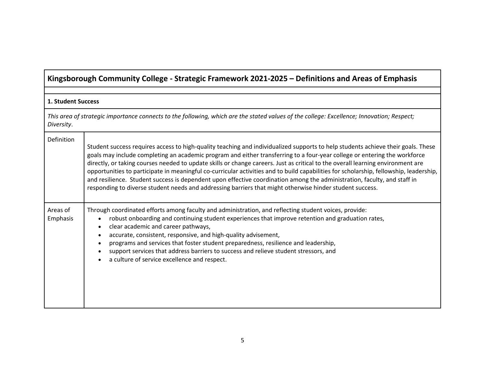## **Kingsborough Community College - Strategic Framework 2021-2025 – Definitions and Areas of Emphasis**

| 1. Student Success                                                                                                                                      |                                                                                                                                                                                                                                                                                                                                                                                                                                                                                                                                                                                                                                                                                                                                                                                    |  |  |
|---------------------------------------------------------------------------------------------------------------------------------------------------------|------------------------------------------------------------------------------------------------------------------------------------------------------------------------------------------------------------------------------------------------------------------------------------------------------------------------------------------------------------------------------------------------------------------------------------------------------------------------------------------------------------------------------------------------------------------------------------------------------------------------------------------------------------------------------------------------------------------------------------------------------------------------------------|--|--|
| This area of strategic importance connects to the following, which are the stated values of the college: Excellence; Innovation; Respect;<br>Diversity. |                                                                                                                                                                                                                                                                                                                                                                                                                                                                                                                                                                                                                                                                                                                                                                                    |  |  |
| Definition                                                                                                                                              | Student success requires access to high-quality teaching and individualized supports to help students achieve their goals. These<br>goals may include completing an academic program and either transferring to a four-year college or entering the workforce<br>directly, or taking courses needed to update skills or change careers. Just as critical to the overall learning environment are<br>opportunities to participate in meaningful co-curricular activities and to build capabilities for scholarship, fellowship, leadership,<br>and resilience. Student success is dependent upon effective coordination among the administration, faculty, and staff in<br>responding to diverse student needs and addressing barriers that might otherwise hinder student success. |  |  |
| Areas of<br>Emphasis                                                                                                                                    | Through coordinated efforts among faculty and administration, and reflecting student voices, provide:<br>robust onboarding and continuing student experiences that improve retention and graduation rates,<br>$\bullet$<br>clear academic and career pathways,<br>accurate, consistent, responsive, and high-quality advisement,<br>$\bullet$<br>programs and services that foster student preparedness, resilience and leadership,<br>$\bullet$<br>support services that address barriers to success and relieve student stressors, and<br>a culture of service excellence and respect.                                                                                                                                                                                           |  |  |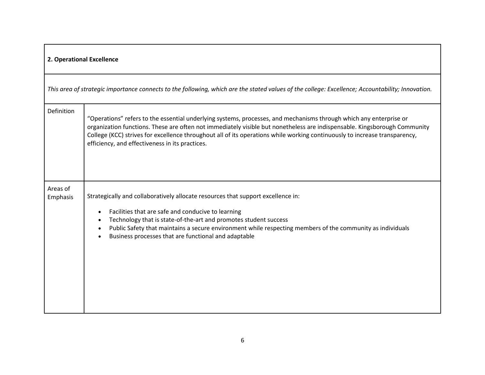| 2. Operational Excellence                                                                                                                        |                                                                                                                                                                                                                                                                                                                                                                                                                                  |  |  |
|--------------------------------------------------------------------------------------------------------------------------------------------------|----------------------------------------------------------------------------------------------------------------------------------------------------------------------------------------------------------------------------------------------------------------------------------------------------------------------------------------------------------------------------------------------------------------------------------|--|--|
| This area of strategic importance connects to the following, which are the stated values of the college: Excellence; Accountability; Innovation. |                                                                                                                                                                                                                                                                                                                                                                                                                                  |  |  |
| Definition                                                                                                                                       | "Operations" refers to the essential underlying systems, processes, and mechanisms through which any enterprise or<br>organization functions. These are often not immediately visible but nonetheless are indispensable. Kingsborough Community<br>College (KCC) strives for excellence throughout all of its operations while working continuously to increase transparency,<br>efficiency, and effectiveness in its practices. |  |  |
| Areas of<br>Emphasis                                                                                                                             | Strategically and collaboratively allocate resources that support excellence in:<br>Facilities that are safe and conducive to learning<br>Technology that is state-of-the-art and promotes student success<br>٠<br>Public Safety that maintains a secure environment while respecting members of the community as individuals<br>٠<br>Business processes that are functional and adaptable                                       |  |  |

 $\mathbf{I}$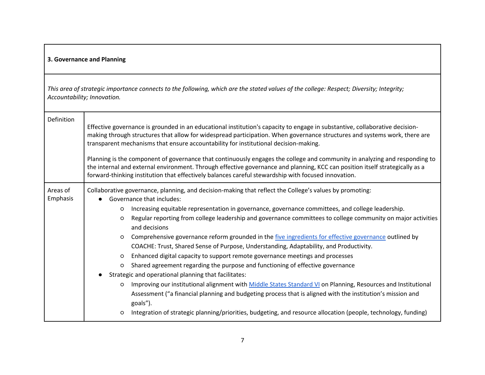## **3. Governance and Planning**

*This area of strategic importance connects to the following, which are the stated values of the college: Respect; Diversity; Integrity; Accountability; Innovation.*

| Definition           | Effective governance is grounded in an educational institution's capacity to engage in substantive, collaborative decision-<br>making through structures that allow for widespread participation. When governance structures and systems work, there are<br>transparent mechanisms that ensure accountability for institutional decision-making.<br>Planning is the component of governance that continuously engages the college and community in analyzing and responding to<br>the internal and external environment. Through effective governance and planning, KCC can position itself strategically as a<br>forward-thinking institution that effectively balances careful stewardship with focused innovation.                                                                                                                                                                                                                                                                                                                                                                                                                                                                                                                        |
|----------------------|----------------------------------------------------------------------------------------------------------------------------------------------------------------------------------------------------------------------------------------------------------------------------------------------------------------------------------------------------------------------------------------------------------------------------------------------------------------------------------------------------------------------------------------------------------------------------------------------------------------------------------------------------------------------------------------------------------------------------------------------------------------------------------------------------------------------------------------------------------------------------------------------------------------------------------------------------------------------------------------------------------------------------------------------------------------------------------------------------------------------------------------------------------------------------------------------------------------------------------------------|
| Areas of<br>Emphasis | Collaborative governance, planning, and decision-making that reflect the College's values by promoting:<br>Governance that includes:<br>Increasing equitable representation in governance, governance committees, and college leadership.<br>$\circ$<br>Regular reporting from college leadership and governance committees to college community on major activities<br>$\circ$<br>and decisions<br>Comprehensive governance reform grounded in the five ingredients for effective governance outlined by<br>$\circ$<br>COACHE: Trust, Shared Sense of Purpose, Understanding, Adaptability, and Productivity.<br>Enhanced digital capacity to support remote governance meetings and processes<br>O<br>Shared agreement regarding the purpose and functioning of effective governance<br>$\circ$<br>Strategic and operational planning that facilitates:<br>Improving our institutional alignment with Middle States Standard VI on Planning, Resources and Institutional<br>$\circ$<br>Assessment ("a financial planning and budgeting process that is aligned with the institution's mission and<br>goals").<br>Integration of strategic planning/priorities, budgeting, and resource allocation (people, technology, funding)<br>$\circ$ |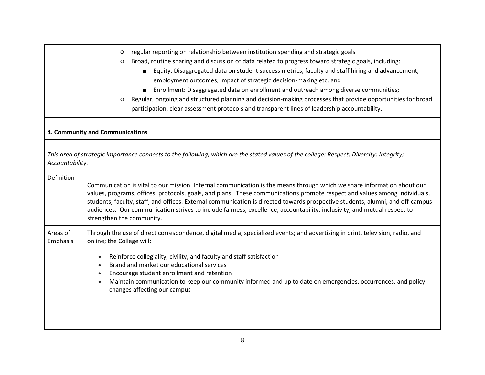|                                                                                                                                                            | regular reporting on relationship between institution spending and strategic goals<br>$\circ$<br>Broad, routine sharing and discussion of data related to progress toward strategic goals, including:<br>$\circ$<br>Equity: Disaggregated data on student success metrics, faculty and staff hiring and advancement,<br>employment outcomes, impact of strategic decision-making etc. and<br>Enrollment: Disaggregated data on enrollment and outreach among diverse communities;<br>Regular, ongoing and structured planning and decision-making processes that provide opportunities for broad<br>$\circ$<br>participation, clear assessment protocols and transparent lines of leadership accountability. |  |  |  |
|------------------------------------------------------------------------------------------------------------------------------------------------------------|--------------------------------------------------------------------------------------------------------------------------------------------------------------------------------------------------------------------------------------------------------------------------------------------------------------------------------------------------------------------------------------------------------------------------------------------------------------------------------------------------------------------------------------------------------------------------------------------------------------------------------------------------------------------------------------------------------------|--|--|--|
| 4. Community and Communications                                                                                                                            |                                                                                                                                                                                                                                                                                                                                                                                                                                                                                                                                                                                                                                                                                                              |  |  |  |
| This area of strategic importance connects to the following, which are the stated values of the college: Respect; Diversity; Integrity;<br>Accountability. |                                                                                                                                                                                                                                                                                                                                                                                                                                                                                                                                                                                                                                                                                                              |  |  |  |
| Definition                                                                                                                                                 | Communication is vital to our mission. Internal communication is the means through which we share information about our<br>values, programs, offices, protocols, goals, and plans. These communications promote respect and values among individuals,<br>students, faculty, staff, and offices. External communication is directed towards prospective students, alumni, and off-campus<br>audiences. Our communication strives to include fairness, excellence, accountability, inclusivity, and mutual respect to<br>strengthen the community.                                                                                                                                                             |  |  |  |
| Areas of<br>Emphasis                                                                                                                                       | Through the use of direct correspondence, digital media, specialized events; and advertising in print, television, radio, and<br>online; the College will:<br>Reinforce collegiality, civility, and faculty and staff satisfaction<br>$\bullet$<br>Brand and market our educational services<br>Encourage student enrollment and retention<br>$\bullet$<br>Maintain communication to keep our community informed and up to date on emergencies, occurrences, and policy<br>$\bullet$<br>changes affecting our campus                                                                                                                                                                                         |  |  |  |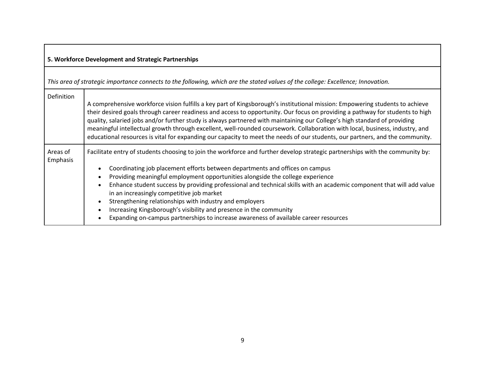| 5. Workforce Development and Strategic Partnerships                                                                              |                                                                                                                                                                                                                                                                                                                                                                                                                                                                                                                                                                                                                                                                                                                                                                 |  |  |  |
|----------------------------------------------------------------------------------------------------------------------------------|-----------------------------------------------------------------------------------------------------------------------------------------------------------------------------------------------------------------------------------------------------------------------------------------------------------------------------------------------------------------------------------------------------------------------------------------------------------------------------------------------------------------------------------------------------------------------------------------------------------------------------------------------------------------------------------------------------------------------------------------------------------------|--|--|--|
| This area of strategic importance connects to the following, which are the stated values of the college: Excellence; Innovation. |                                                                                                                                                                                                                                                                                                                                                                                                                                                                                                                                                                                                                                                                                                                                                                 |  |  |  |
| <b>Definition</b>                                                                                                                | A comprehensive workforce vision fulfills a key part of Kingsborough's institutional mission: Empowering students to achieve<br>their desired goals through career readiness and access to opportunity. Our focus on providing a pathway for students to high<br>quality, salaried jobs and/or further study is always partnered with maintaining our College's high standard of providing<br>meaningful intellectual growth through excellent, well-rounded coursework. Collaboration with local, business, industry, and<br>educational resources is vital for expanding our capacity to meet the needs of our students, our partners, and the community.                                                                                                     |  |  |  |
| Areas of<br>Emphasis                                                                                                             | Facilitate entry of students choosing to join the workforce and further develop strategic partnerships with the community by:<br>Coordinating job placement efforts between departments and offices on campus<br>$\bullet$<br>Providing meaningful employment opportunities alongside the college experience<br>$\bullet$<br>Enhance student success by providing professional and technical skills with an academic component that will add value<br>$\bullet$<br>in an increasingly competitive job market<br>Strengthening relationships with industry and employers<br>$\bullet$<br>Increasing Kingsborough's visibility and presence in the community<br>$\bullet$<br>Expanding on-campus partnerships to increase awareness of available career resources |  |  |  |

 $\overline{\phantom{a}}$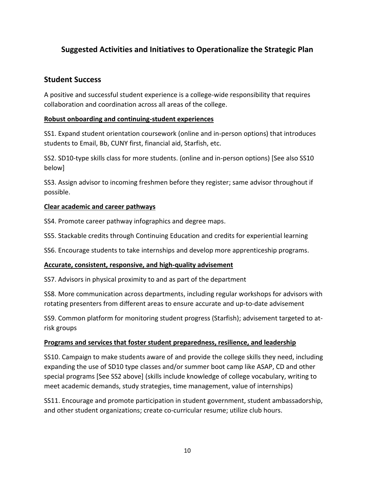## **Suggested Activities and Initiatives to Operationalize the Strategic Plan**

## **Student Success**

A positive and successful student experience is a college-wide responsibility that requires collaboration and coordination across all areas of the college.

#### **Robust onboarding and continuing-student experiences**

SS1. Expand student orientation coursework (online and in-person options) that introduces students to Email, Bb, CUNY first, financial aid, Starfish, etc.

SS2. SD10-type skills class for more students. (online and in-person options) [See also SS10 below]

SS3. Assign advisor to incoming freshmen before they register; same advisor throughout if possible.

#### **Clear academic and career pathways**

SS4. Promote career pathway infographics and degree maps.

SS5. Stackable credits through Continuing Education and credits for experiential learning

SS6. Encourage students to take internships and develop more apprenticeship programs.

#### **Accurate, consistent, responsive, and high-quality advisement**

SS7. Advisors in physical proximity to and as part of the department

SS8. More communication across departments, including regular workshops for advisors with rotating presenters from different areas to ensure accurate and up-to-date advisement

SS9. Common platform for monitoring student progress (Starfish); advisement targeted to atrisk groups

#### **Programs and services that foster student preparedness, resilience, and leadership**

SS10. Campaign to make students aware of and provide the college skills they need, including expanding the use of SD10 type classes and/or summer boot camp like ASAP, CD and other special programs [See SS2 above] (skills include knowledge of college vocabulary, writing to meet academic demands, study strategies, time management, value of internships)

SS11. Encourage and promote participation in student government, student ambassadorship, and other student organizations; create co-curricular resume; utilize club hours.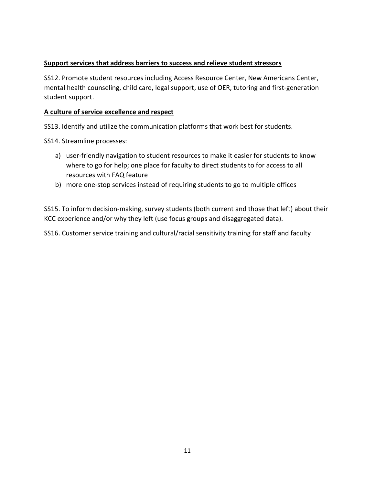#### **Support services that address barriers to success and relieve student stressors**

SS12. Promote student resources including Access Resource Center, New Americans Center, mental health counseling, child care, legal support, use of OER, tutoring and first-generation student support.

#### **A culture of service excellence and respect**

SS13. Identify and utilize the communication platforms that work best for students.

SS14. Streamline processes:

- a) user-friendly navigation to student resources to make it easier for students to know where to go for help; one place for faculty to direct students to for access to all resources with FAQ feature
- b) more one-stop services instead of requiring students to go to multiple offices

SS15. To inform decision-making, survey students (both current and those that left) about their KCC experience and/or why they left (use focus groups and disaggregated data).

SS16. Customer service training and cultural/racial sensitivity training for staff and faculty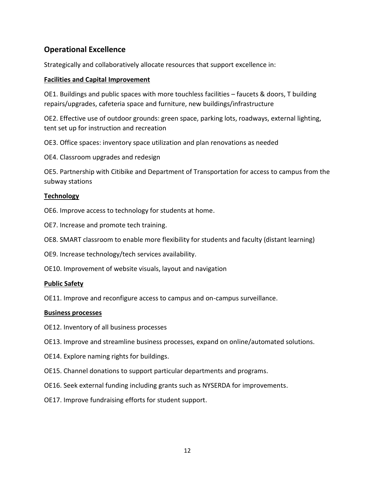## **Operational Excellence**

Strategically and collaboratively allocate resources that support excellence in:

## **Facilities and Capital Improvement**

OE1. Buildings and public spaces with more touchless facilities – faucets & doors, T building repairs/upgrades, cafeteria space and furniture, new buildings/infrastructure

OE2. Effective use of outdoor grounds: green space, parking lots, roadways, external lighting, tent set up for instruction and recreation

OE3. Office spaces: inventory space utilization and plan renovations as needed

OE4. Classroom upgrades and redesign

OE5. Partnership with Citibike and Department of Transportation for access to campus from the subway stations

## **Technology**

OE6. Improve access to technology for students at home.

- OE7. Increase and promote tech training.
- OE8. SMART classroom to enable more flexibility for students and faculty (distant learning)

OE9. Increase technology/tech services availability.

OE10. Improvement of website visuals, layout and navigation

### **Public Safety**

OE11. Improve and reconfigure access to campus and on-campus surveillance.

### **Business processes**

- OE12. Inventory of all business processes
- OE13. Improve and streamline business processes, expand on online/automated solutions.
- OE14. Explore naming rights for buildings.
- OE15. Channel donations to support particular departments and programs.
- OE16. Seek external funding including grants such as NYSERDA for improvements.
- OE17. Improve fundraising efforts for student support.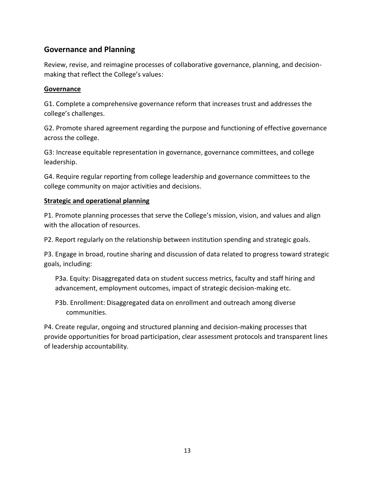## **Governance and Planning**

Review, revise, and reimagine processes of collaborative governance, planning, and decisionmaking that reflect the College's values:

### **Governance**

G1. Complete a comprehensive governance reform that increases trust and addresses the college's challenges.

G2. Promote shared agreement regarding the purpose and functioning of effective governance across the college.

G3: Increase equitable representation in governance, governance committees, and college leadership.

G4. Require regular reporting from college leadership and governance committees to the college community on major activities and decisions.

#### **Strategic and operational planning**

P1. Promote planning processes that serve the College's mission, vision, and values and align with the allocation of resources.

P2. Report regularly on the relationship between institution spending and strategic goals.

P3. Engage in broad, routine sharing and discussion of data related to progress toward strategic goals, including:

P3a. Equity: Disaggregated data on student success metrics, faculty and staff hiring and advancement, employment outcomes, impact of strategic decision-making etc.

P3b. Enrollment: Disaggregated data on enrollment and outreach among diverse communities.

P4. Create regular, ongoing and structured planning and decision-making processes that provide opportunities for broad participation, clear assessment protocols and transparent lines of leadership accountability.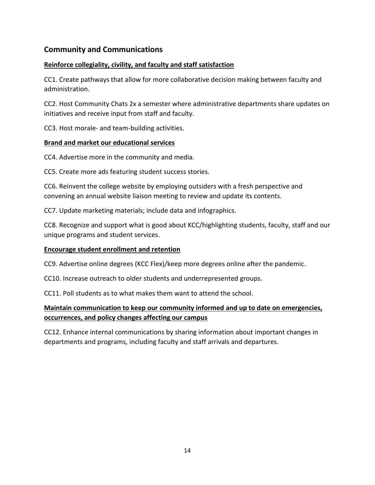## **Community and Communications**

#### **Reinforce collegiality, civility, and faculty and staff satisfaction**

CC1. Create pathways that allow for more collaborative decision making between faculty and administration.

CC2. Host Community Chats 2x a semester where administrative departments share updates on initiatives and receive input from staff and faculty.

CC3. Host morale- and team-building activities.

#### **Brand and market our educational services**

CC4. Advertise more in the community and media.

CC5. Create more ads featuring student success stories.

CC6. Reinvent the college website by employing outsiders with a fresh perspective and convening an annual website liaison meeting to review and update its contents.

CC7. Update marketing materials; include data and infographics.

CC8. Recognize and support what is good about KCC/highlighting students, faculty, staff and our unique programs and student services.

#### **Encourage student enrollment and retention**

CC9. Advertise online degrees (KCC Flex)/keep more degrees online after the pandemic.

CC10. Increase outreach to older students and underrepresented groups.

CC11. Poll students as to what makes them want to attend the school.

## **Maintain communication to keep our community informed and up to date on emergencies, occurrences, and policy changes affecting our campus**

CC12. Enhance internal communications by sharing information about important changes in departments and programs, including faculty and staff arrivals and departures.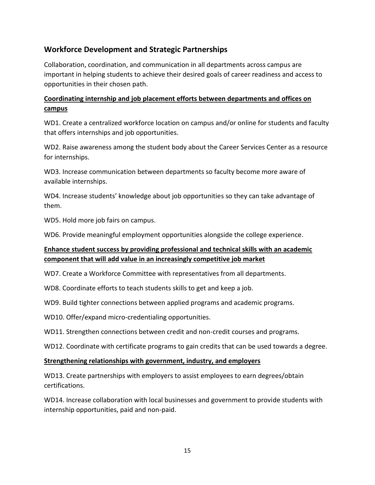## **Workforce Development and Strategic Partnerships**

Collaboration, coordination, and communication in all departments across campus are important in helping students to achieve their desired goals of career readiness and access to opportunities in their chosen path.

## **Coordinating internship and job placement efforts between departments and offices on campus**

WD1. Create a centralized workforce location on campus and/or online for students and faculty that offers internships and job opportunities.

WD2. Raise awareness among the student body about the Career Services Center as a resource for internships.

WD3. Increase communication between departments so faculty become more aware of available internships.

WD4. Increase students' knowledge about job opportunities so they can take advantage of them.

WD5. Hold more job fairs on campus.

WD6. Provide meaningful employment opportunities alongside the college experience.

## **Enhance student success by providing professional and technical skills with an academic component that will add value in an increasingly competitive job market**

WD7. Create a Workforce Committee with representatives from all departments.

WD8. Coordinate efforts to teach students skills to get and keep a job.

WD9. Build tighter connections between applied programs and academic programs.

WD10. Offer/expand micro-credentialing opportunities.

WD11. Strengthen connections between credit and non-credit courses and programs.

WD12. Coordinate with certificate programs to gain credits that can be used towards a degree.

#### **Strengthening relationships with government, industry, and employers**

WD13. Create partnerships with employers to assist employees to earn degrees/obtain certifications.

WD14. Increase collaboration with local businesses and government to provide students with internship opportunities, paid and non-paid.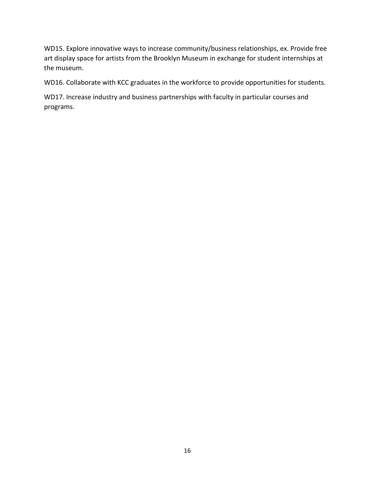WD15. Explore innovative ways to increase community/business relationships, ex. Provide free art display space for artists from the Brooklyn Museum in exchange for student internships at the museum.

WD16. Collaborate with KCC graduates in the workforce to provide opportunities for students.

WD17. Increase industry and business partnerships with faculty in particular courses and programs.